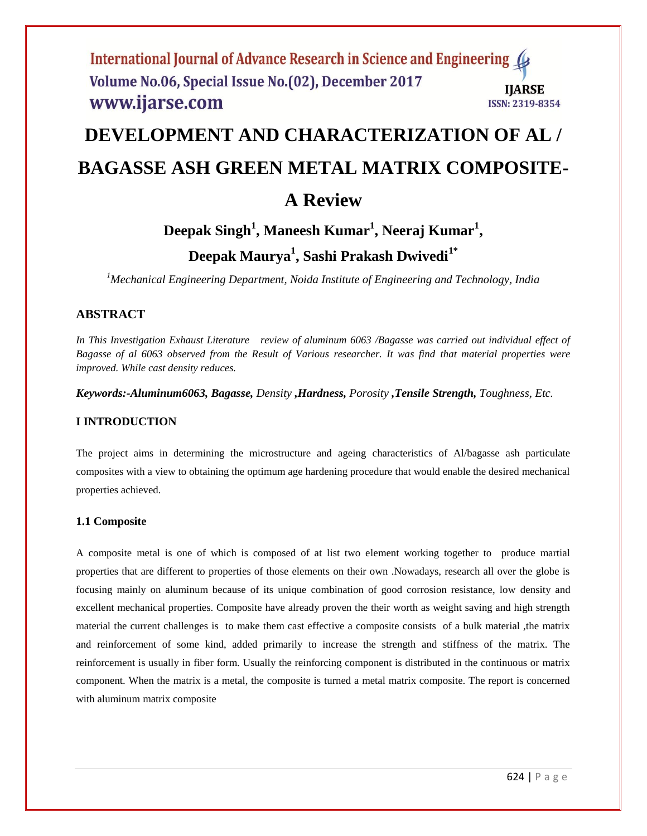# International Journal of Advance Research in Science and Engineering Volume No.06, Special Issue No.(02), December 2017 **IIARSE** www.ijarse.com **ISSN: 2319-8354**

# **DEVELOPMENT AND CHARACTERIZATION OF AL / BAGASSE ASH GREEN METAL MATRIX COMPOSITE-**

# **A Review**

# **Deepak Singh<sup>1</sup> , Maneesh Kumar<sup>1</sup> , Neeraj Kumar<sup>1</sup> ,**

# **Deepak Maurya<sup>1</sup> , Sashi Prakash Dwivedi1\***

*<sup>1</sup>Mechanical Engineering Department, Noida Institute of Engineering and Technology, India*

# **ABSTRACT**

*In This Investigation Exhaust Literature review of aluminum 6063 /Bagasse was carried out individual effect of Bagasse of al 6063 observed from the Result of Various researcher. It was find that material properties were improved. While cast density reduces.*

*Keywords:-Aluminum6063, Bagasse, Density ,Hardness, Porosity ,Tensile Strength, Toughness, Etc.* 

# **I INTRODUCTION**

The project aims in determining the microstructure and ageing characteristics of Al/bagasse ash particulate composites with a view to obtaining the optimum age hardening procedure that would enable the desired mechanical properties achieved.

# **1.1 Composite**

A composite metal is one of which is composed of at list two element working together to produce martial properties that are different to properties of those elements on their own .Nowadays, research all over the globe is focusing mainly on aluminum because of its unique combination of good corrosion resistance, low density and excellent mechanical properties. Composite have already proven the their worth as weight saving and high strength material the current challenges is to make them cast effective a composite consists of a bulk material ,the matrix and reinforcement of some kind, added primarily to increase the strength and stiffness of the matrix. The reinforcement is usually in fiber form. Usually the reinforcing component is distributed in the continuous or matrix component. When the matrix is a metal, the composite is turned a metal matrix composite. The report is concerned with aluminum matrix composite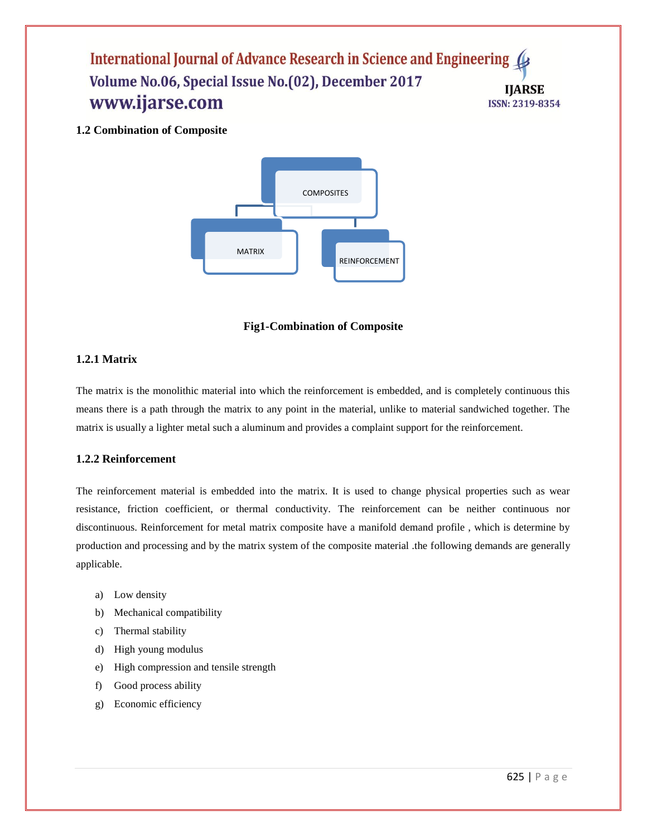# International Journal of Advance Research in Science and Engineering 4 Volume No.06, Special Issue No.(02), December 2017 **IIARSE** www.ijarse.com **ISSN: 2319-8354**

**1.2 Combination of Composite**



**Fig1-Combination of Composite**

# **1.2.1 Matrix**

The matrix is the monolithic material into which the reinforcement is embedded, and is completely continuous this means there is a path through the matrix to any point in the material, unlike to material sandwiched together. The matrix is usually a lighter metal such a aluminum and provides a complaint support for the reinforcement.

# **1.2.2 Reinforcement**

The reinforcement material is embedded into the matrix. It is used to change physical properties such as wear resistance, friction coefficient, or thermal conductivity. The reinforcement can be neither continuous nor discontinuous. Reinforcement for metal matrix composite have a manifold demand profile , which is determine by production and processing and by the matrix system of the composite material .the following demands are generally applicable.

- a) Low density
- b) Mechanical compatibility
- c) Thermal stability
- d) High young modulus
- e) High compression and tensile strength
- f) Good process ability
- g) Economic efficiency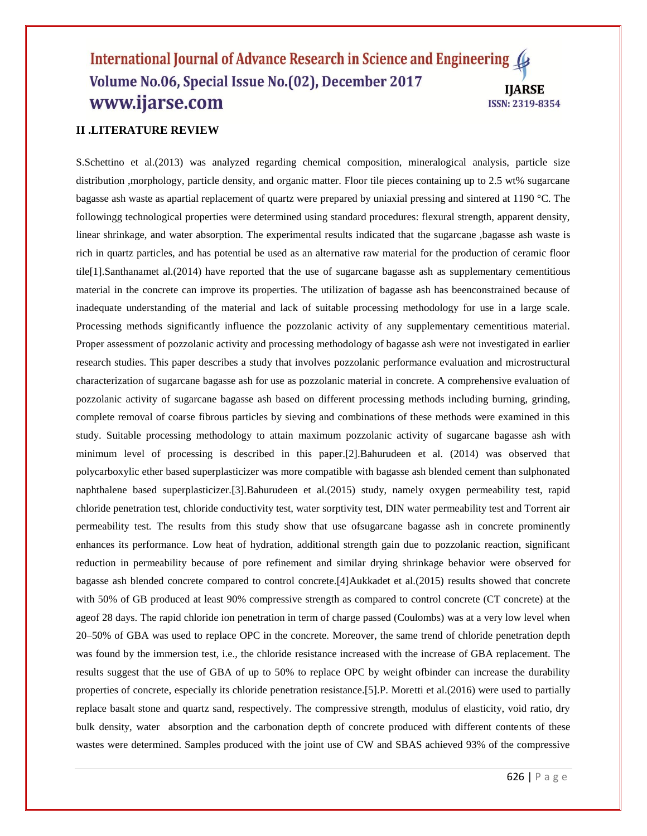## International Journal of Advance Research in Science and Engineering Volume No.06, Special Issue No.(02), December 2017 **IIARSE** www.ijarse.com **ISSN: 2319-8354**

# **II .LITERATURE REVIEW**

S.Schettino et al.(2013) was analyzed regarding chemical composition, mineralogical analysis, particle size distribution ,morphology, particle density, and organic matter. Floor tile pieces containing up to 2.5 wt% sugarcane bagasse ash waste as apartial replacement of quartz were prepared by uniaxial pressing and sintered at 1190 °C. The followingg technological properties were determined using standard procedures: flexural strength, apparent density, linear shrinkage, and water absorption. The experimental results indicated that the sugarcane ,bagasse ash waste is rich in quartz particles, and has potential be used as an alternative raw material for the production of ceramic floor tile[1].Santhanamet al.(2014) have reported that the use of sugarcane bagasse ash as supplementary cementitious material in the concrete can improve its properties. The utilization of bagasse ash has beenconstrained because of inadequate understanding of the material and lack of suitable processing methodology for use in a large scale. Processing methods significantly influence the pozzolanic activity of any supplementary cementitious material. Proper assessment of pozzolanic activity and processing methodology of bagasse ash were not investigated in earlier research studies. This paper describes a study that involves pozzolanic performance evaluation and microstructural characterization of sugarcane bagasse ash for use as pozzolanic material in concrete. A comprehensive evaluation of pozzolanic activity of sugarcane bagasse ash based on different processing methods including burning, grinding, complete removal of coarse fibrous particles by sieving and combinations of these methods were examined in this study. Suitable processing methodology to attain maximum pozzolanic activity of sugarcane bagasse ash with minimum level of processing is described in this paper.[2].Bahurudeen et al. (2014) was observed that polycarboxylic ether based superplasticizer was more compatible with bagasse ash blended cement than sulphonated naphthalene based superplasticizer.[3].Bahurudeen et al.(2015) study, namely oxygen permeability test, rapid chloride penetration test, chloride conductivity test, water sorptivity test, DIN water permeability test and Torrent air permeability test. The results from this study show that use ofsugarcane bagasse ash in concrete prominently enhances its performance. Low heat of hydration, additional strength gain due to pozzolanic reaction, significant reduction in permeability because of pore refinement and similar drying shrinkage behavior were observed for bagasse ash blended concrete compared to control concrete.[4]Aukkadet et al.(2015) results showed that concrete with 50% of GB produced at least 90% compressive strength as compared to control concrete (CT concrete) at the ageof 28 days. The rapid chloride ion penetration in term of charge passed (Coulombs) was at a very low level when 20–50% of GBA was used to replace OPC in the concrete. Moreover, the same trend of chloride penetration depth was found by the immersion test, i.e., the chloride resistance increased with the increase of GBA replacement. The results suggest that the use of GBA of up to 50% to replace OPC by weight ofbinder can increase the durability properties of concrete, especially its chloride penetration resistance.[5].P. Moretti et al.(2016) were used to partially replace basalt stone and quartz sand, respectively. The compressive strength, modulus of elasticity, void ratio, dry bulk density, water absorption and the carbonation depth of concrete produced with different contents of these wastes were determined. Samples produced with the joint use of CW and SBAS achieved 93% of the compressive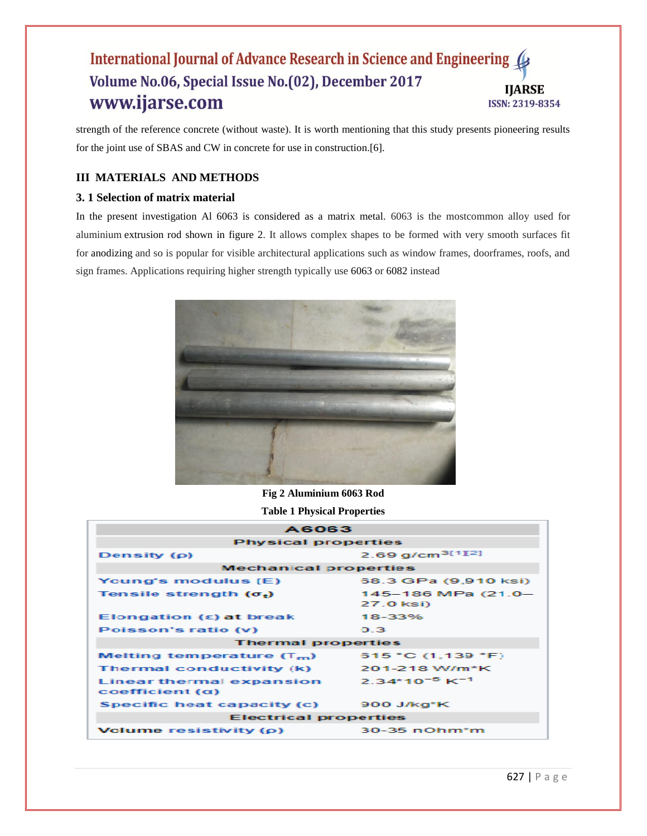# International Journal of Advance Research in Science and Engineering 4 Volume No.06, Special Issue No.(02), December 2017 **IIARSE** www.ijarse.com **ISSN: 2319-8354**

strength of the reference concrete (without waste). It is worth mentioning that this study presents pioneering results for the joint use of SBAS and CW in concrete for use in construction.[6].

# **III MATERIALS AND METHODS**

# **3. 1 Selection of matrix material**

In the present investigation Al 6063 is considered as a matrix metal. 6063 is the mostcommon alloy used for aluminium extrusion rod shown in figure 2. It allows complex shapes to be formed with very smooth surfaces fit for anodizing and so is popular for visible architectural applications such as window frames, doorframes, roofs, and sign frames. Applications requiring higher strength typically use 6063 or 6082 instead



**Fig 2 Aluminium 6063 Rod**

**Table 1 Physical Properties**

| <b>A6063</b>                                      |                                 |  |
|---------------------------------------------------|---------------------------------|--|
| <b>Physical properties</b>                        |                                 |  |
| Density (ρ)                                       | 2.69 $q/cm^{3[1][2]}$           |  |
| <b>Mechanical properties</b>                      |                                 |  |
| Young's modulus (E)                               | 68.3 GPa (9,910 ksi)            |  |
| Tensile strength $(\sigma_t)$                     | 145-186 MPa (21.0-<br>27.0 ksi) |  |
| Elongation $(\epsilon)$ at break                  | 18-33%                          |  |
| Poisson's ratio (v)                               | 0.3                             |  |
| <b>Thermal properties</b>                         |                                 |  |
| Melting temperature $(T_m)$                       | 615 °C (1.139 °F)               |  |
| Thermal conductivity (k)                          | 201-218 W/m*K                   |  |
| Linear thermal expansion<br>$coefficient(\alpha)$ | $2.34*10^{-5}$ K <sup>-1</sup>  |  |
| Specific heat capacity (c)                        | $900$ J/kg <sup>*</sup> K       |  |
| <b>Electrical properties</b>                      |                                 |  |
| Volume resistivity $(\rho)$                       | $30-35$ nOhm $\text{*}$ m       |  |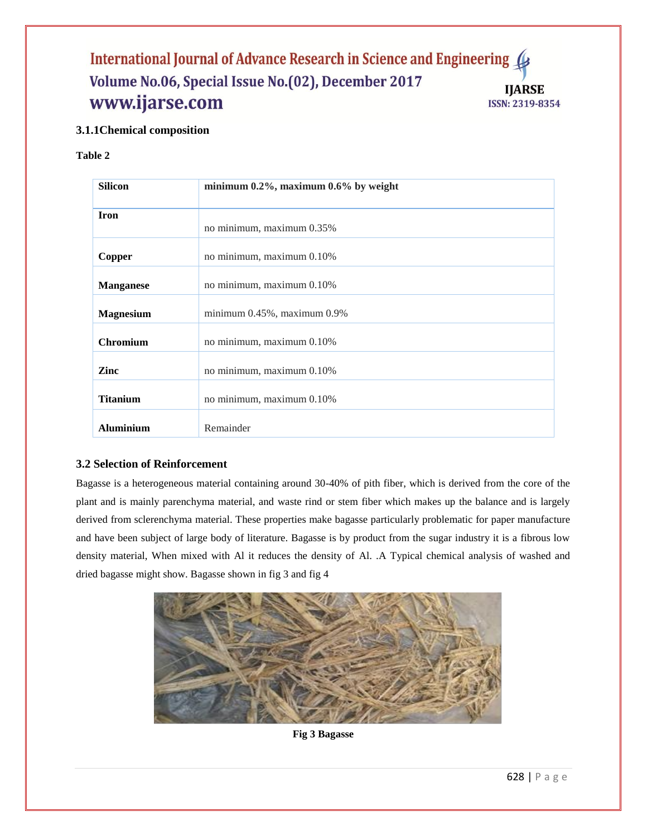# International Journal of Advance Research in Science and Engineering ( Volume No.06, Special Issue No.(02), December 2017 **IIARSE** www.ijarse.com **ISSN: 2319-8354**

# **3.1.1Chemical composition**

# **Table 2**

| <b>Silicon</b>   | minimum $0.2\%$ , maximum $0.6\%$ by weight |
|------------------|---------------------------------------------|
|                  |                                             |
| <b>Iron</b>      |                                             |
|                  | no minimum, maximum 0.35%                   |
|                  |                                             |
| Copper           | no minimum, maximum 0.10%                   |
| <b>Manganese</b> | no minimum, maximum 0.10%                   |
| <b>Magnesium</b> | minimum $0.45\%$ , maximum $0.9\%$          |
| <b>Chromium</b>  | no minimum, maximum 0.10%                   |
| Zinc             | no minimum, maximum 0.10%                   |
| <b>Titanium</b>  | no minimum, maximum 0.10%                   |
| <b>Aluminium</b> | Remainder                                   |

# **3.2 Selection of Reinforcement**

Bagasse is a heterogeneous material containing around 30-40% of pith fiber, which is derived from the core of the plant and is mainly parenchyma material, and waste rind or stem fiber which makes up the balance and is largely derived from sclerenchyma material. These properties make bagasse particularly problematic for paper manufacture and have been subject of large body of literature. Bagasse is by product from the sugar industry it is a fibrous low density material, When mixed with Al it reduces the density of Al. .A Typical chemical analysis of washed and dried bagasse might show. Bagasse shown in fig 3 and fig 4



**Fig 3 Bagasse**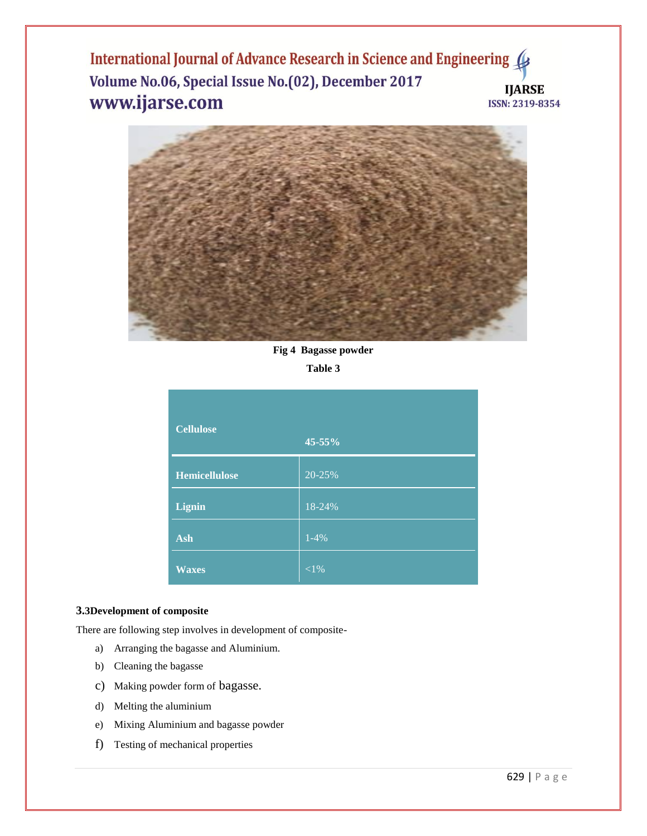International Journal of Advance Research in Science and Engineering ( Volume No.06, Special Issue No.(02), December 2017 **IJARSE** www.ijarse.com ISSN: 2319-8354



**Fig 4 Bagasse powder**

**Table 3**

| <b>Cellulose</b>     | 45-55%   |
|----------------------|----------|
| <b>Hemicellulose</b> | 20-25%   |
| <b>Lignin</b>        | 18-24%   |
| Ash                  | $1-4%$   |
| <b>Waxes</b>         | ${<}1\%$ |

#### **3.3Development of composite**

There are following step involves in development of composite-

- a) Arranging the bagasse and Aluminium.
- b) Cleaning the bagasse
- c) Making powder form of bagasse.
- d) Melting the aluminium
- e) Mixing Aluminium and bagasse powder
- f) Testing of mechanical properties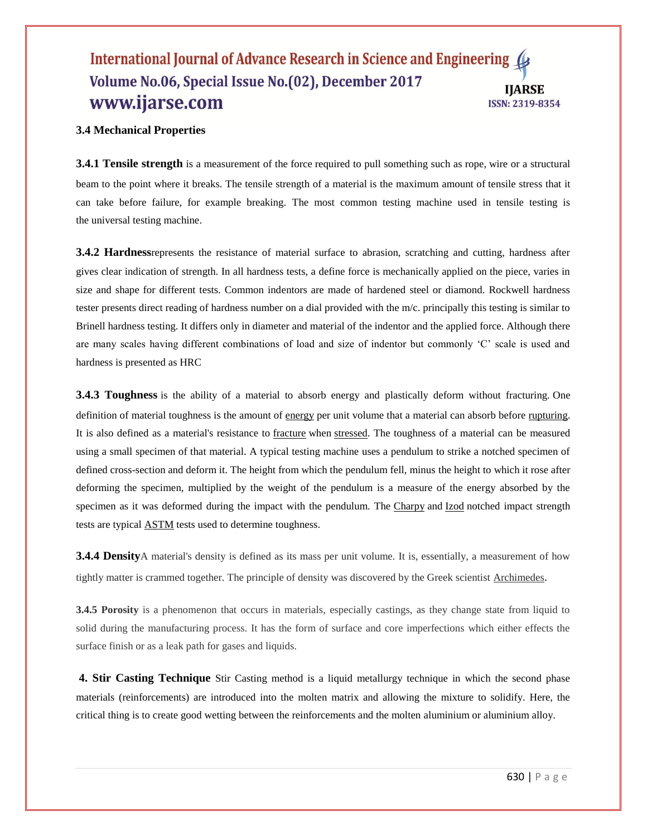## International Journal of Advance Research in Science and Engineering ( Volume No.06, Special Issue No.(02), December 2017 **IIARSE** www.ijarse.com **ISSN: 2319-8354**

#### **3.4 Mechanical Properties**

**3.4.1 Tensile strength** is a measurement of the [force](https://simple.wikipedia.org/wiki/Force_(physics)) required to pull something such as [rope,](https://simple.wikipedia.org/wiki/Rope) wire or a structural beam to the point where it breaks. The tensile strength of a [material](https://simple.wikipedia.org/wiki/Material) is the maximum amount of tensile stress that it can take before failure, for example breaking. The most common testing machine used in tensile testing is the [universal testing machine.](https://en.wikipedia.org/wiki/Universal_testing_machine)

**3.4.2 Hardness**represents the resistance of material surface to abrasion, scratching and cutting, hardness after gives clear indication of strength. In all hardness tests, a define force is mechanically applied on the piece, varies in size and shape for different tests. Common indentors are made of hardened steel or diamond. Rockwell hardness tester presents direct reading of hardness number on a dial provided with the m/c. principally this testing is similar to Brinell hardness testing. It differs only in diameter and material of the indentor and the applied force. Although there are many scales having different combinations of load and size of indentor but commonly 'C' scale is used and hardness is presented as HRC

**3.4.3 Toughness** is the ability of a material to absorb energy and plastically deform without fracturing. One definition of material toughness is the amount of [energy](https://en.wikipedia.org/wiki/Energy) per unit volume that a material can absorb before [rupturing.](https://en.wikipedia.org/wiki/Rupture_(engineering)) It is also defined as a material's resistance to [fracture](https://en.wikipedia.org/wiki/Fracture) when [stressed.](https://en.wikipedia.org/wiki/Stress_(physics)) The toughness of a material can be measured using a small specimen of that material. A typical testing machine uses a pendulum to strike a notched specimen of defined cross-section and deform it. The height from which the pendulum fell, minus the height to which it rose after deforming the specimen, multiplied by the weight of the pendulum is a measure of the energy absorbed by the specimen as it was deformed during the impact with the pendulum. The [Charpy](https://en.wikipedia.org/wiki/Charpy) and [Izod](https://en.wikipedia.org/wiki/Izod_impact_strength_test) notched impact strength tests are typical [ASTM](https://en.wikipedia.org/wiki/ASTM) tests used to determine toughness.

**3.4.4 Density**A material's density is defined as its mass per unit volume. It is, essentially, a measurement of how tightly matter is crammed together. The principle of density was discovered by the Greek scientist [Archimedes](https://www.thoughtco.com/physics-of-the-greeks-2699229).

**3.4.5 Porosity** is a phenomenon that occurs in materials, especially castings, as they change state from liquid to solid during the manufacturing process. It has the form of surface and core imperfections which either effects the surface finish or as a leak path for gases and liquids.

**4. Stir Casting Technique** Stir Casting method is a liquid metallurgy technique in which the second phase materials (reinforcements) are introduced into the molten matrix and allowing the mixture to solidify. Here, the critical thing is to create good wetting between the reinforcements and the molten aluminium or aluminium alloy.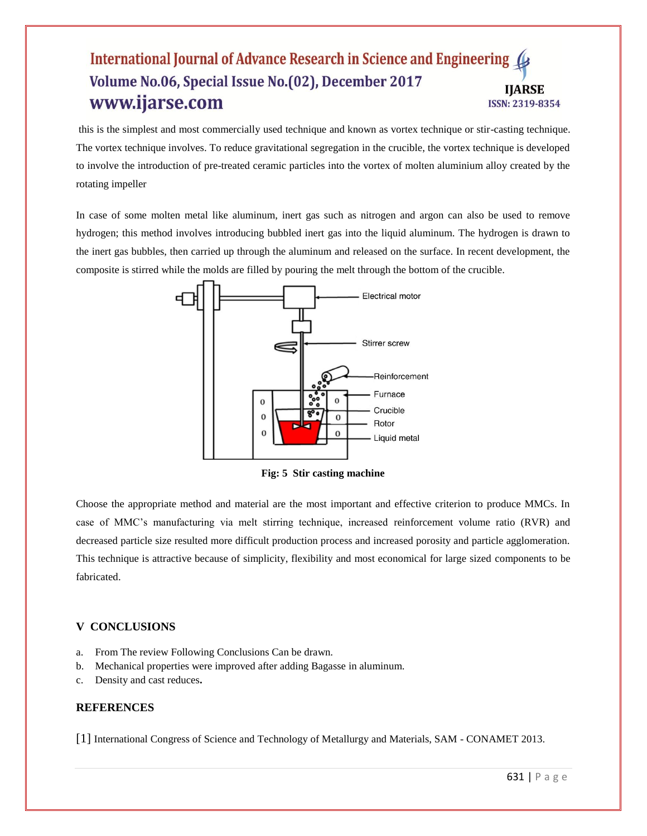## International Journal of Advance Research in Science and Engineering Volume No.06, Special Issue No.(02), December 2017 **IIARSE** www.ijarse.com **ISSN: 2319-8354**

this is the simplest and most commercially used technique and known as vortex technique or stir-casting technique. The vortex technique involves. To reduce gravitational segregation in the crucible, the vortex technique is developed to involve the introduction of pre-treated ceramic particles into the vortex of molten aluminium alloy created by the rotating impeller

In case of some molten metal like aluminum, inert gas such as nitrogen and argon can also be used to remove hydrogen; this method involves introducing bubbled inert gas into the liquid aluminum. The hydrogen is drawn to the inert gas bubbles, then carried up through the aluminum and released on the surface. In recent development, the composite is stirred while the molds are filled by pouring the melt through the bottom of the crucible.



**Fig: 5 Stir casting machine**

Choose the appropriate method and material are the most important and effective criterion to produce MMCs. In case of MMC's manufacturing via melt stirring technique, increased reinforcement volume ratio (RVR) and decreased particle size resulted more difficult production process and increased porosity and particle agglomeration. This technique is attractive because of simplicity, flexibility and most economical for large sized components to be fabricated.

#### **V CONCLUSIONS**

- a. From The review Following Conclusions Can be drawn.
- b. Mechanical properties were improved after adding Bagasse in aluminum.
- c. Density and cast reduces**.**

#### **REFERENCES**

[1] International Congress of Science and Technology of Metallurgy and Materials, SAM - CONAMET 2013.